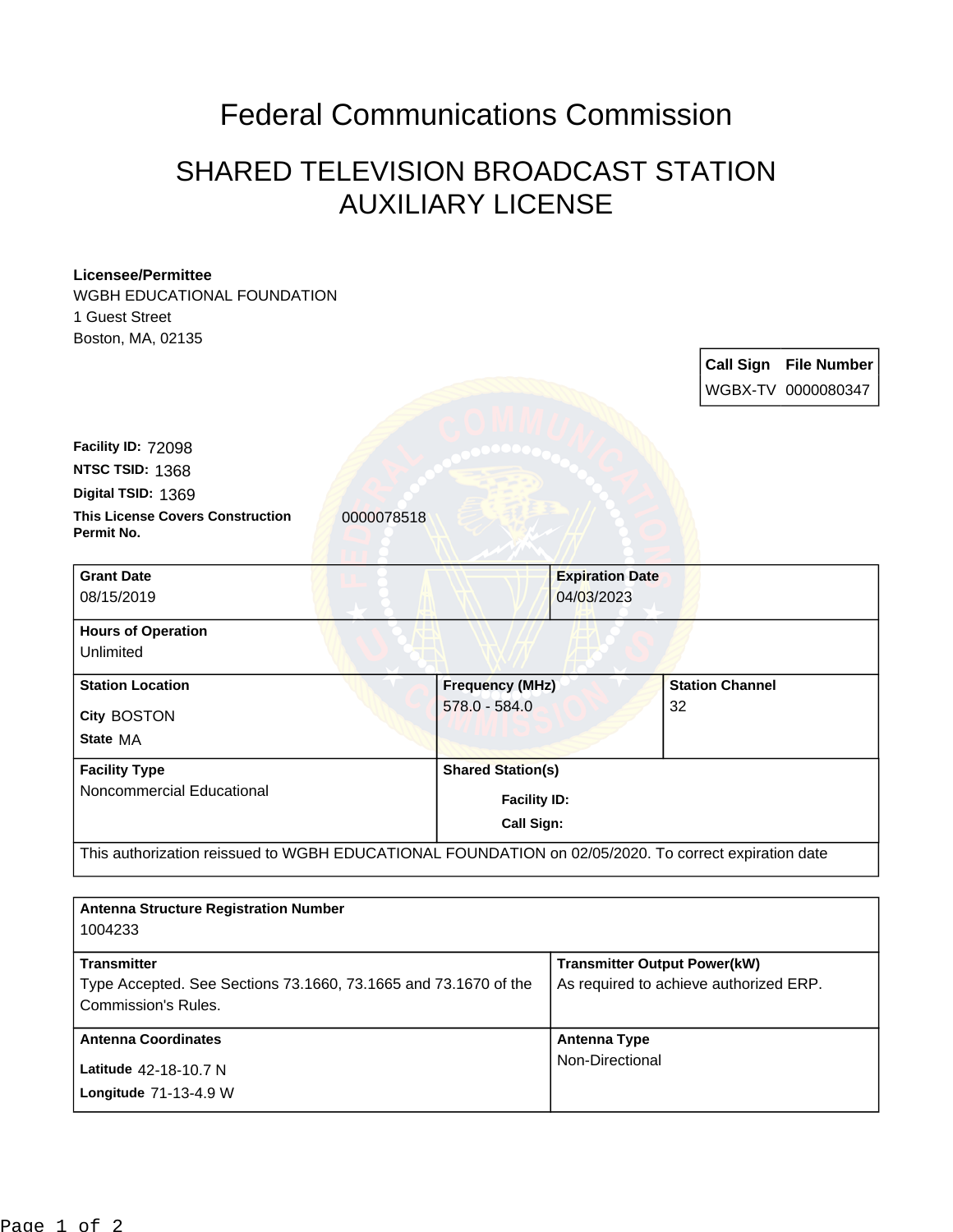## Federal Communications Commission

## SHARED TELEVISION BROADCAST STATION AUXILIARY LICENSE

## **Licensee/Permittee**

WGBH EDUCATIONAL FOUNDATION 1 Guest Street Boston, MA, 02135

**Call Sign File Number** WGBX-TV 0000080347

**This License Covers Construction 10000078518 Permit No. Digital TSID:** 1369 **NTSC TSID:** 1368 **Facility ID:** 72098

| <b>Grant Date</b><br>08/15/2019                           | <b>Expiration Date</b><br>04/03/2023                          |                              |  |
|-----------------------------------------------------------|---------------------------------------------------------------|------------------------------|--|
| <b>Hours of Operation</b><br>Unlimited                    |                                                               |                              |  |
| <b>Station Location</b><br><b>City BOSTON</b><br>State MA | <b>Frequency (MHz)</b><br>$578.0 - 584.0$                     | <b>Station Channel</b><br>32 |  |
| <b>Facility Type</b><br>Noncommercial Educational         | <b>Shared Station(s)</b><br><b>Facility ID:</b><br>Call Sign: |                              |  |

| <b>Antenna Structure Registration Number</b><br>1004233         |                                        |
|-----------------------------------------------------------------|----------------------------------------|
| <b>Transmitter</b>                                              | <b>Transmitter Output Power(kW)</b>    |
| Type Accepted. See Sections 73.1660, 73.1665 and 73.1670 of the | As required to achieve authorized ERP. |
| Commission's Rules.                                             |                                        |
| <b>Antenna Coordinates</b>                                      | Antenna Type                           |
| Latitude 42-18-10.7 N                                           | Non-Directional                        |
| Longitude 71-13-4.9 W                                           |                                        |